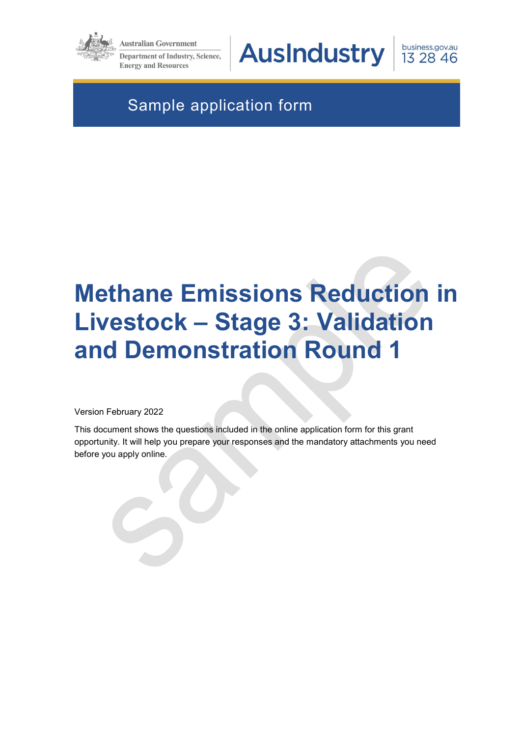

**Australian Government** 

**Department of Industry, Science, Energy and Resources** 

**AusIndustry** 

business.gov.au 13 28 46

# Sample application form

# Methane Emissions Reduction in Livestock – Stage 3: Validation and Demonstration Round 1

Version February 2022

This document shows the questions included in the online application form for this grant opportunity. It will help you prepare your responses and the mandatory attachments you need before you apply online.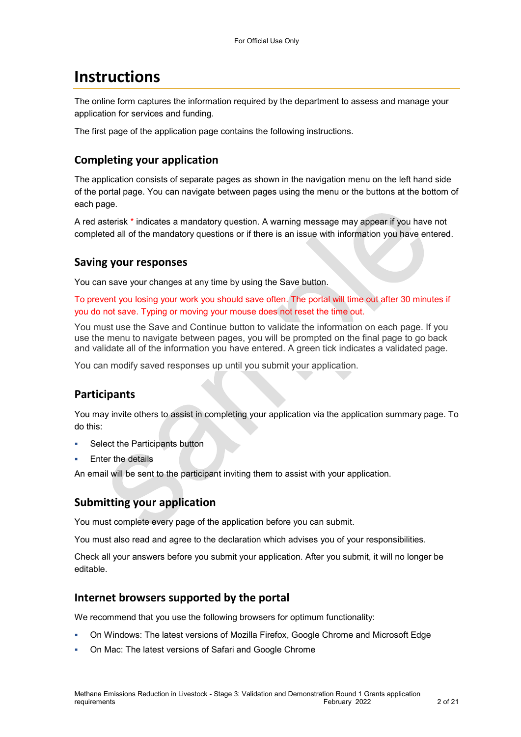# **Instructions**

The online form captures the information required by the department to assess and manage your application for services and funding.

The first page of the application page contains the following instructions.

### Completing your application

The application consists of separate pages as shown in the navigation menu on the left hand side of the portal page. You can navigate between pages using the menu or the buttons at the bottom of each page.

A red asterisk \* indicates a mandatory question. A warning message may appear if you have not completed all of the mandatory questions or if there is an issue with information you have entered.

#### Saving your responses

You can save your changes at any time by using the Save button.

To prevent you losing your work you should save often. The portal will time out after 30 minutes if you do not save. Typing or moving your mouse does not reset the time out.

You must use the Save and Continue button to validate the information on each page. If you use the menu to navigate between pages, you will be prompted on the final page to go back and validate all of the information you have entered. A green tick indicates a validated page.

You can modify saved responses up until you submit your application.

### Participants

You may invite others to assist in completing your application via the application summary page. To do this:

- Select the Participants button
- Enter the details

An email will be sent to the participant inviting them to assist with your application.

### Submitting your application

You must complete every page of the application before you can submit.

You must also read and agree to the declaration which advises you of your responsibilities.

Check all your answers before you submit your application. After you submit, it will no longer be editable.

#### Internet browsers supported by the portal

We recommend that you use the following browsers for optimum functionality:

- On Windows: The latest versions of Mozilla Firefox, Google Chrome and Microsoft Edge
- On Mac: The latest versions of Safari and Google Chrome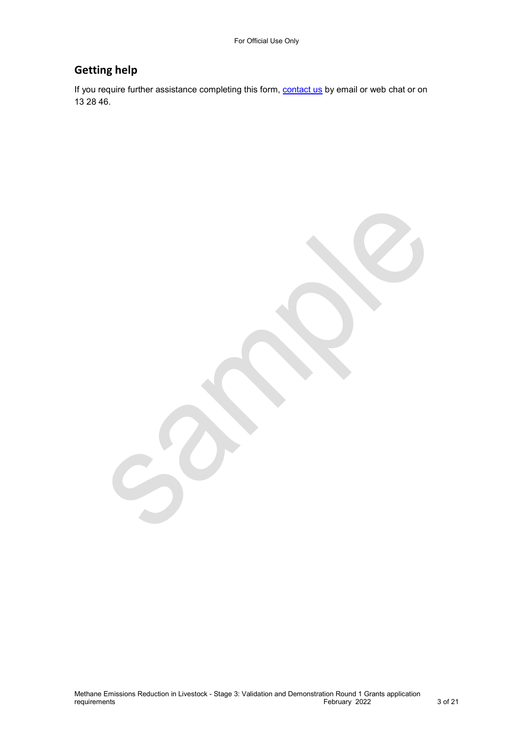### Getting help

If you require further assistance completing this form, **contact us** by email or web chat or on 13 28 46.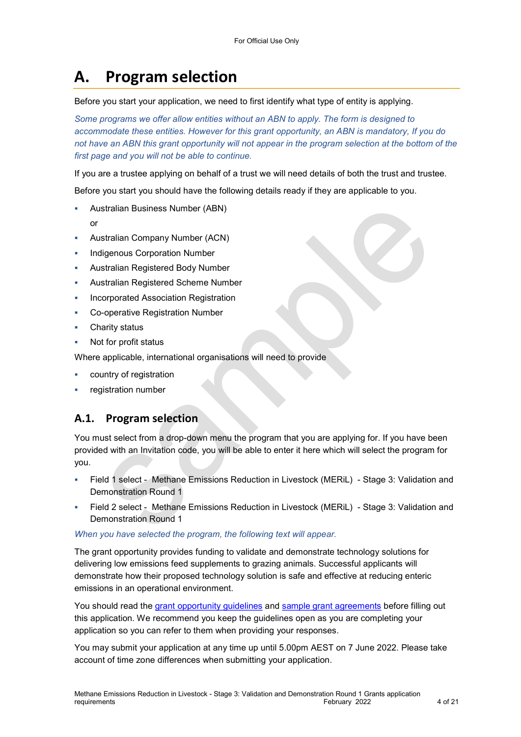# A. Program selection

Before you start your application, we need to first identify what type of entity is applying.

Some programs we offer allow entities without an ABN to apply. The form is designed to accommodate these entities. However for this grant opportunity, an ABN is mandatory, If you do not have an ABN this grant opportunity will not appear in the program selection at the bottom of the first page and you will not be able to continue.

If you are a trustee applying on behalf of a trust we will need details of both the trust and trustee.

Before you start you should have the following details ready if they are applicable to you.

- Australian Business Number (ABN)
	- or
- Australian Company Number (ACN)
- Indigenous Corporation Number
- Australian Registered Body Number
- Australian Registered Scheme Number
- Incorporated Association Registration
- Co-operative Registration Number
- Charity status
- Not for profit status

Where applicable, international organisations will need to provide

- country of registration
- registration number

### A.1. Program selection

You must select from a drop-down menu the program that you are applying for. If you have been provided with an Invitation code, you will be able to enter it here which will select the program for you.

- Field 1 select Methane Emissions Reduction in Livestock (MERiL) Stage 3: Validation and Demonstration Round 1
- Field 2 select Methane Emissions Reduction in Livestock (MERiL) Stage 3: Validation and Demonstration Round 1

#### When you have selected the program, the following text will appear.

The grant opportunity provides funding to validate and demonstrate technology solutions for delivering low emissions feed supplements to grazing animals. Successful applicants will demonstrate how their proposed technology solution is safe and effective at reducing enteric emissions in an operational environment.

You should read the grant opportunity guidelines and sample grant agreements before filling out this application. We recommend you keep the guidelines open as you are completing your application so you can refer to them when providing your responses.

You may submit your application at any time up until 5.00pm AEST on 7 June 2022. Please take account of time zone differences when submitting your application.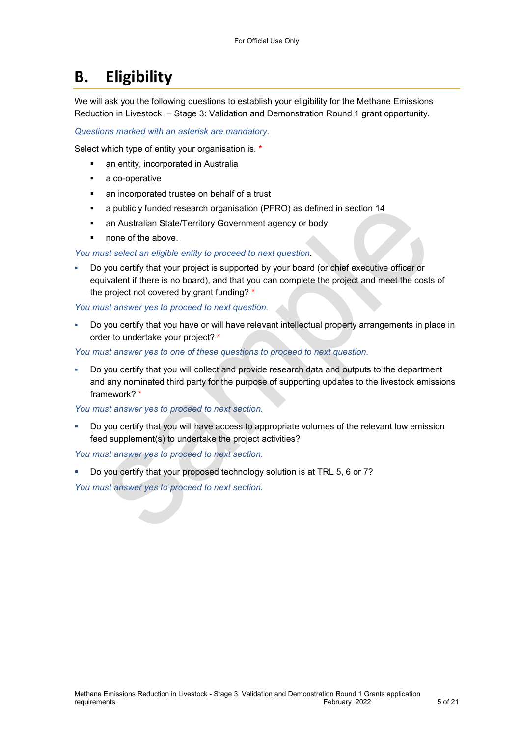# B. Eligibility

We will ask you the following questions to establish your eligibility for the Methane Emissions Reduction in Livestock – Stage 3: Validation and Demonstration Round 1 grant opportunity.

Questions marked with an asterisk are mandatory.

Select which type of entity your organisation is. \*

- **an entity, incorporated in Australia**
- **a** co-operative
- an incorporated trustee on behalf of a trust
- a publicly funded research organisation (PFRO) as defined in section 14
- **an Australian State/Territory Government agency or body**
- none of the above.

#### You must select an eligible entity to proceed to next question.

 Do you certify that your project is supported by your board (or chief executive officer or equivalent if there is no board), and that you can complete the project and meet the costs of the project not covered by grant funding? \*

You must answer yes to proceed to next question.

 Do you certify that you have or will have relevant intellectual property arrangements in place in order to undertake your project? \*

You must answer yes to one of these questions to proceed to next question.

 Do you certify that you will collect and provide research data and outputs to the department and any nominated third party for the purpose of supporting updates to the livestock emissions framework? \*

You must answer yes to proceed to next section.

Do you certify that you will have access to appropriate volumes of the relevant low emission feed supplement(s) to undertake the project activities?

You must answer yes to proceed to next section.

Do you certify that your proposed technology solution is at TRL 5, 6 or 7?

You must answer yes to proceed to next section.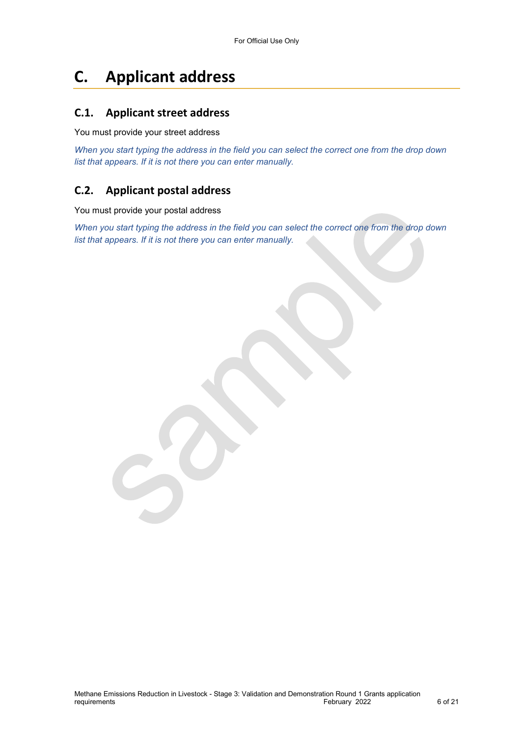# C. Applicant address

### C.1. Applicant street address

You must provide your street address

When you start typing the address in the field you can select the correct one from the drop down list that appears. If it is not there you can enter manually.

### C.2. Applicant postal address

You must provide your postal address

When you start typing the address in the field you can select the correct one from the drop down list that appears. If it is not there you can enter manually.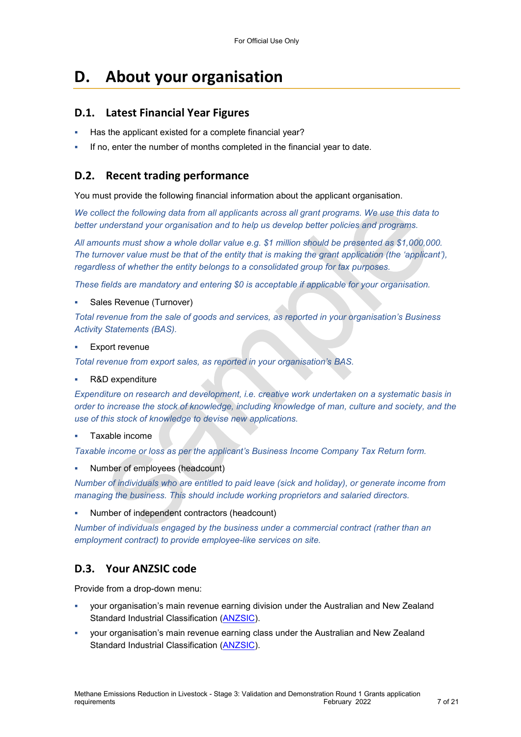# D. About your organisation

### D.1. Latest Financial Year Figures

- Has the applicant existed for a complete financial year?
- If no, enter the number of months completed in the financial year to date.

### D.2. Recent trading performance

You must provide the following financial information about the applicant organisation.

We collect the following data from all applicants across all grant programs. We use this data to better understand your organisation and to help us develop better policies and programs.

All amounts must show a whole dollar value e.g. \$1 million should be presented as \$1,000,000. The turnover value must be that of the entity that is making the grant application (the 'applicant'), regardless of whether the entity belongs to a consolidated group for tax purposes.

These fields are mandatory and entering \$0 is acceptable if applicable for your organisation.

Sales Revenue (Turnover)

Total revenue from the sale of goods and services, as reported in your organisation's Business Activity Statements (BAS).

Export revenue

Total revenue from export sales, as reported in your organisation's BAS.

R&D expenditure

Expenditure on research and development, i.e. creative work undertaken on a systematic basis in order to increase the stock of knowledge, including knowledge of man, culture and society, and the use of this stock of knowledge to devise new applications.

#### Taxable income

Taxable income or loss as per the applicant's Business Income Company Tax Return form.

Number of employees (headcount)

Number of individuals who are entitled to paid leave (sick and holiday), or generate income from managing the business. This should include working proprietors and salaried directors.

Number of independent contractors (headcount)

Number of individuals engaged by the business under a commercial contract (rather than an employment contract) to provide employee-like services on site.

### D.3. Your ANZSIC code

Provide from a drop-down menu:

- your organisation's main revenue earning division under the Australian and New Zealand Standard Industrial Classification (ANZSIC).
- your organisation's main revenue earning class under the Australian and New Zealand Standard Industrial Classification (ANZSIC).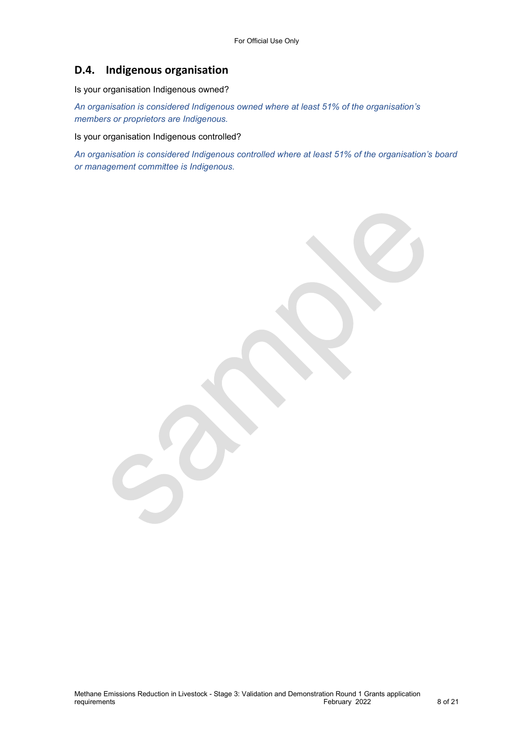### D.4. Indigenous organisation

Is your organisation Indigenous owned?

An organisation is considered Indigenous owned where at least 51% of the organisation's members or proprietors are Indigenous.

Is your organisation Indigenous controlled?

An organisation is considered Indigenous controlled where at least 51% of the organisation's board or management committee is Indigenous.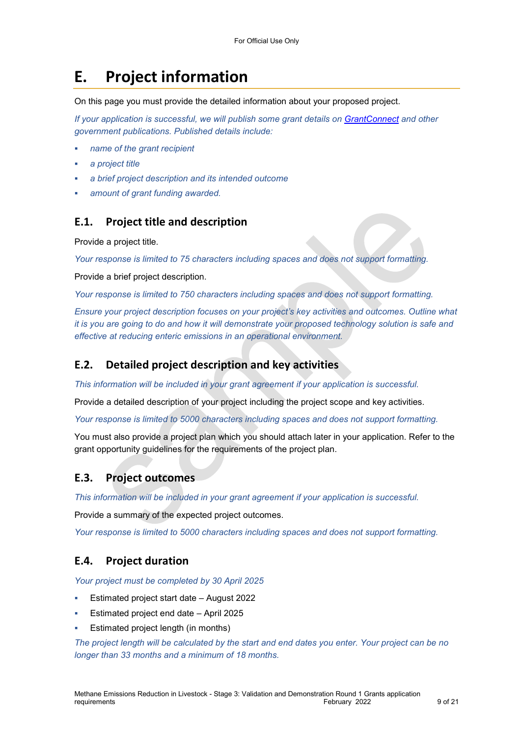# E. Project information

On this page you must provide the detailed information about your proposed project.

If your application is successful, we will publish some grant details on GrantConnect and other government publications. Published details include:

- name of the grant recipient
- a project title
- a brief project description and its intended outcome
- amount of grant funding awarded.

#### E.1. Project title and description

Provide a project title.

Your response is limited to 75 characters including spaces and does not support formatting.

Provide a brief project description.

Your response is limited to 750 characters including spaces and does not support formatting.

Ensure your project description focuses on your project's key activities and outcomes. Outline what it is you are going to do and how it will demonstrate your proposed technology solution is safe and effective at reducing enteric emissions in an operational environment.

#### E.2. Detailed project description and key activities

This information will be included in your grant agreement if your application is successful.

Provide a detailed description of your project including the project scope and key activities.

Your response is limited to 5000 characters including spaces and does not support formatting.

You must also provide a project plan which you should attach later in your application. Refer to the grant opportunity guidelines for the requirements of the project plan.

#### E.3. Project outcomes

This information will be included in your grant agreement if your application is successful.

Provide a summary of the expected project outcomes.

Your response is limited to 5000 characters including spaces and does not support formatting.

#### E.4. Project duration

Your project must be completed by 30 April 2025

- Estimated project start date August 2022
- Estimated project end date April 2025
- Estimated project length (in months)

The project length will be calculated by the start and end dates you enter. Your project can be no longer than 33 months and a minimum of 18 months.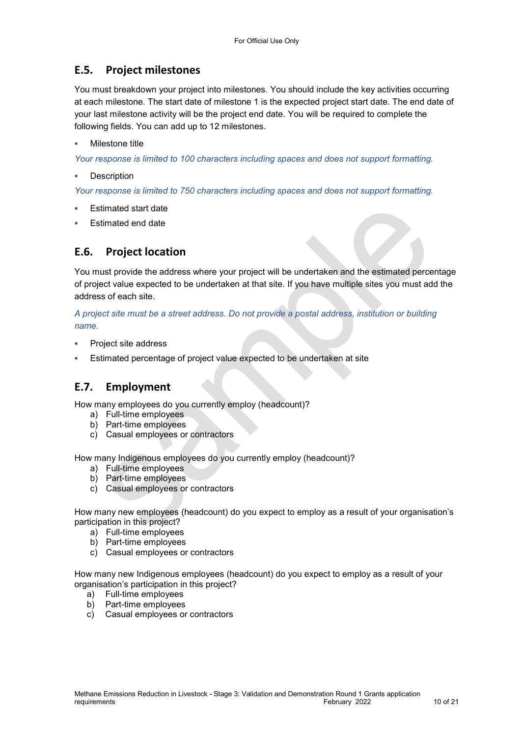### E.5. Project milestones

You must breakdown your project into milestones. You should include the key activities occurring at each milestone. The start date of milestone 1 is the expected project start date. The end date of your last milestone activity will be the project end date. You will be required to complete the following fields. You can add up to 12 milestones.

#### Milestone title

Your response is limited to 100 characters including spaces and does not support formatting.

**Description** 

Your response is limited to 750 characters including spaces and does not support formatting.

- Estimated start date
- Estimated end date

### E.6. Project location

You must provide the address where your project will be undertaken and the estimated percentage of project value expected to be undertaken at that site. If you have multiple sites you must add the address of each site.

A project site must be a street address. Do not provide a postal address, institution or building name.

- Project site address
- Estimated percentage of project value expected to be undertaken at site

### E.7. Employment

How many employees do you currently employ (headcount)?

- a) Full-time employees
- b) Part-time employees
- c) Casual employees or contractors

How many Indigenous employees do you currently employ (headcount)?

- a) Full-time employees
- b) Part-time employees
- c) Casual employees or contractors

How many new employees (headcount) do you expect to employ as a result of your organisation's participation in this project?

- a) Full-time employees
- b) Part-time employees
- c) Casual employees or contractors

How many new Indigenous employees (headcount) do you expect to employ as a result of your organisation's participation in this project?

- a) Full-time employees
- b) Part-time employees
- c) Casual employees or contractors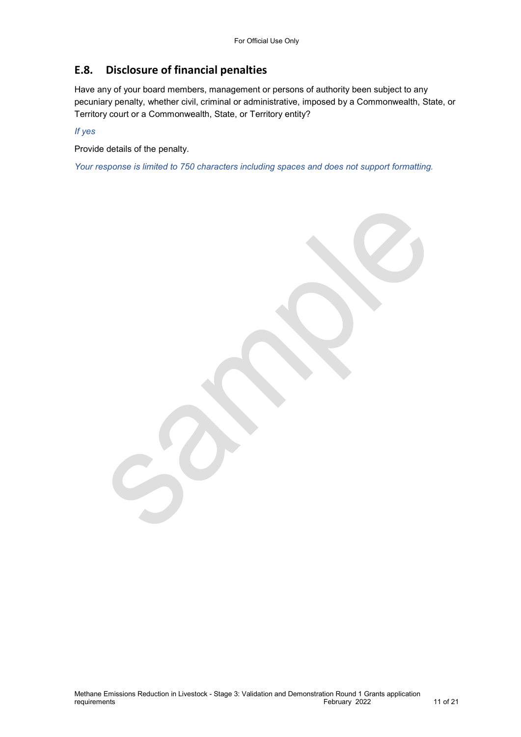### E.8. Disclosure of financial penalties

Have any of your board members, management or persons of authority been subject to any pecuniary penalty, whether civil, criminal or administrative, imposed by a Commonwealth, State, or Territory court or a Commonwealth, State, or Territory entity?

If yes

Provide details of the penalty.

Your response is limited to 750 characters including spaces and does not support formatting.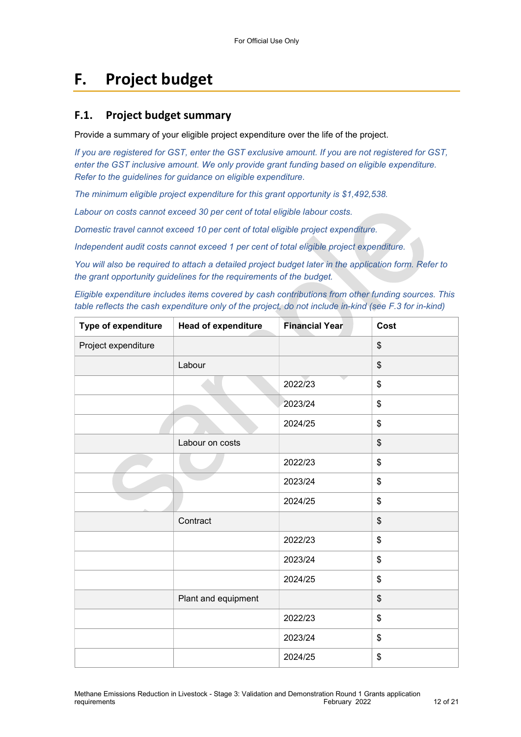# F. Project budget

#### F.1. Project budget summary

Provide a summary of your eligible project expenditure over the life of the project.

If you are registered for GST, enter the GST exclusive amount. If you are not registered for GST, enter the GST inclusive amount. We only provide grant funding based on eligible expenditure. Refer to the guidelines for guidance on eligible expenditure.

The minimum eligible project expenditure for this grant opportunity is \$1,492,538.

Labour on costs cannot exceed 30 per cent of total eligible labour costs.

Domestic travel cannot exceed 10 per cent of total eligible project expenditure.

Independent audit costs cannot exceed 1 per cent of total eligible project expenditure.

You will also be required to attach a detailed project budget later in the application form. Refer to the grant opportunity guidelines for the requirements of the budget.

Eligible expenditure includes items covered by cash contributions from other funding sources. This table reflects the cash expenditure only of the project, do not include in-kind (see F.3 for in-kind)

| Type of expenditure | <b>Head of expenditure</b> | <b>Financial Year</b> | Cost |
|---------------------|----------------------------|-----------------------|------|
| Project expenditure |                            |                       | \$   |
|                     | Labour                     |                       | \$   |
|                     |                            | 2022/23               | \$   |
|                     |                            | 2023/24               | \$   |
|                     |                            | 2024/25               | \$   |
|                     | Labour on costs            |                       | \$   |
|                     |                            | 2022/23               | \$   |
|                     |                            | 2023/24               | \$   |
|                     |                            | 2024/25               | \$   |
|                     | Contract                   |                       | \$   |
|                     |                            | 2022/23               | \$   |
|                     |                            | 2023/24               | \$   |
|                     |                            | 2024/25               | \$   |
|                     | Plant and equipment        |                       | \$   |
|                     |                            | 2022/23               | \$   |
|                     |                            | 2023/24               | \$   |
|                     |                            | 2024/25               | \$   |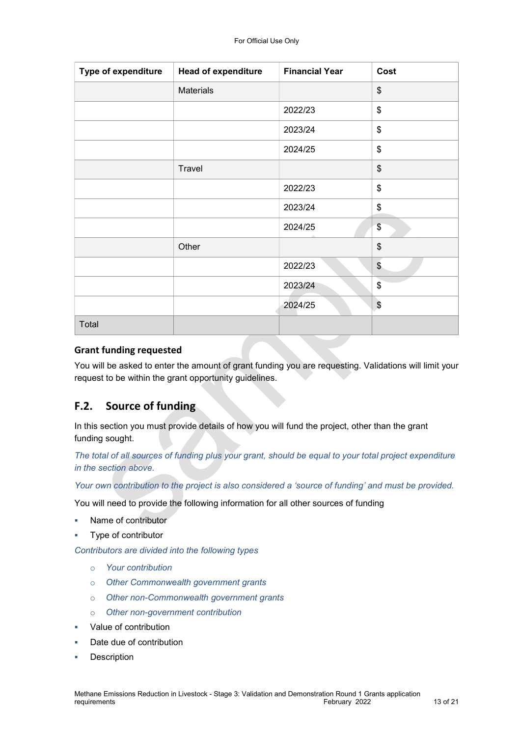| <b>Type of expenditure</b> | <b>Head of expenditure</b> | <b>Financial Year</b> | Cost          |
|----------------------------|----------------------------|-----------------------|---------------|
|                            | <b>Materials</b>           |                       | \$            |
|                            |                            | 2022/23               | \$            |
|                            |                            | 2023/24               | \$            |
|                            |                            | 2024/25               | \$            |
|                            | Travel                     |                       | \$            |
|                            |                            | 2022/23               | \$            |
|                            |                            | 2023/24               | \$            |
|                            |                            | 2024/25               | \$            |
|                            | Other                      |                       | \$            |
|                            |                            | 2022/23               | $\frac{1}{2}$ |
|                            |                            | 2023/24               | \$            |
|                            |                            | 2024/25               | $\$\$         |
| Total                      |                            |                       |               |

#### Grant funding requested

You will be asked to enter the amount of grant funding you are requesting. Validations will limit your request to be within the grant opportunity guidelines.

### F.2. Source of funding

In this section you must provide details of how you will fund the project, other than the grant funding sought.

The total of all sources of funding plus your grant, should be equal to your total project expenditure in the section above.

Your own contribution to the project is also considered a 'source of funding' and must be provided.

You will need to provide the following information for all other sources of funding

- Name of contributor
- Type of contributor

Contributors are divided into the following types

- o Your contribution
- o Other Commonwealth government grants
- o Other non-Commonwealth government grants
- o Other non-government contribution
- Value of contribution
- Date due of contribution
- Description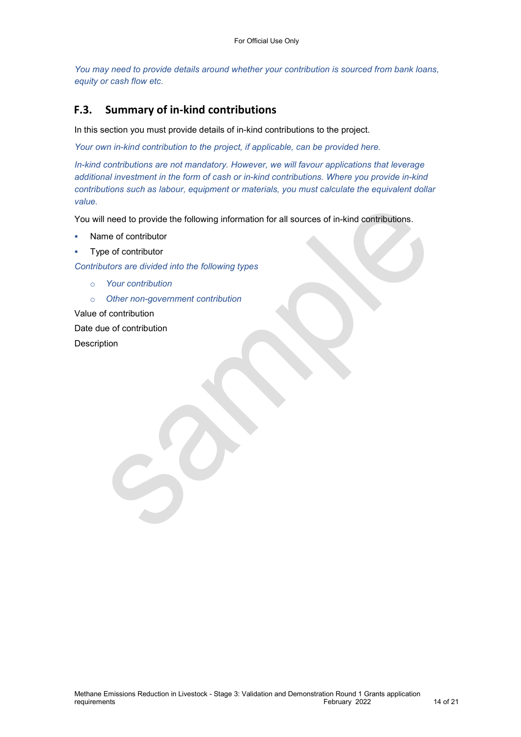You may need to provide details around whether your contribution is sourced from bank loans, equity or cash flow etc.

#### F.3. Summary of in-kind contributions

In this section you must provide details of in-kind contributions to the project.

Your own in-kind contribution to the project, if applicable, can be provided here.

In-kind contributions are not mandatory. However, we will favour applications that leverage additional investment in the form of cash or in-kind contributions. Where you provide in-kind contributions such as labour, equipment or materials, you must calculate the equivalent dollar value.

You will need to provide the following information for all sources of in-kind contributions.

- Name of contributor
- Type of contributor

Contributors are divided into the following types

- o Your contribution
- o Other non-government contribution

Value of contribution

Date due of contribution

Description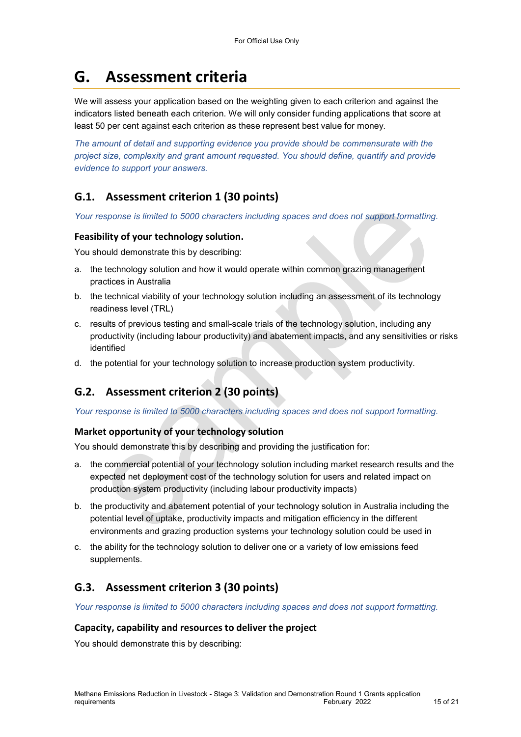# G. Assessment criteria

We will assess your application based on the weighting given to each criterion and against the indicators listed beneath each criterion. We will only consider funding applications that score at least 50 per cent against each criterion as these represent best value for money.

The amount of detail and supporting evidence you provide should be commensurate with the project size, complexity and grant amount requested. You should define, quantify and provide evidence to support your answers.

### G.1. Assessment criterion 1 (30 points)

Your response is limited to 5000 characters including spaces and does not support formatting.

#### Feasibility of your technology solution.

You should demonstrate this by describing:

- a. the technology solution and how it would operate within common grazing management practices in Australia
- b. the technical viability of your technology solution including an assessment of its technology readiness level (TRL)
- c. results of previous testing and small-scale trials of the technology solution, including any productivity (including labour productivity) and abatement impacts, and any sensitivities or risks identified
- d. the potential for your technology solution to increase production system productivity.

### G.2. Assessment criterion 2 (30 points)

Your response is limited to 5000 characters including spaces and does not support formatting.

#### Market opportunity of your technology solution

You should demonstrate this by describing and providing the justification for:

- a. the commercial potential of your technology solution including market research results and the expected net deployment cost of the technology solution for users and related impact on production system productivity (including labour productivity impacts)
- b. the productivity and abatement potential of your technology solution in Australia including the potential level of uptake, productivity impacts and mitigation efficiency in the different environments and grazing production systems your technology solution could be used in
- c. the ability for the technology solution to deliver one or a variety of low emissions feed supplements.

### G.3. Assessment criterion 3 (30 points)

Your response is limited to 5000 characters including spaces and does not support formatting.

#### Capacity, capability and resources to deliver the project

You should demonstrate this by describing: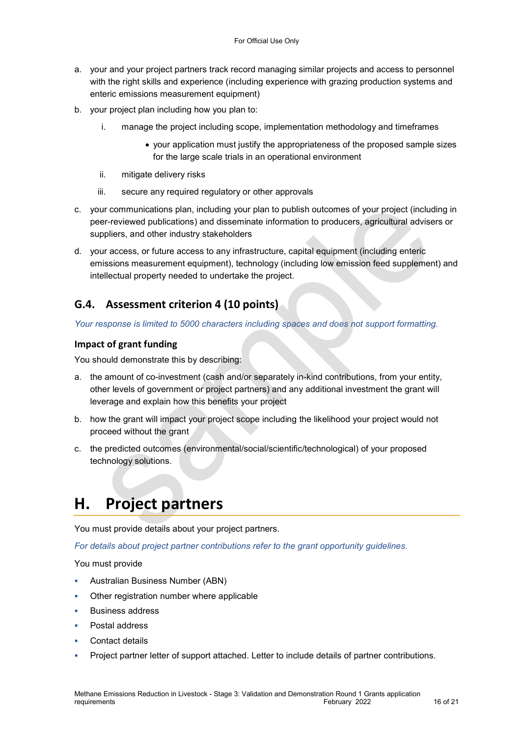- a. your and your project partners track record managing similar projects and access to personnel with the right skills and experience (including experience with grazing production systems and enteric emissions measurement equipment)
- b. your project plan including how you plan to:
	- i. manage the project including scope, implementation methodology and timeframes
		- your application must justify the appropriateness of the proposed sample sizes for the large scale trials in an operational environment
	- ii. mitigate delivery risks
	- iii. secure any required regulatory or other approvals
- c. your communications plan, including your plan to publish outcomes of your project (including in peer-reviewed publications) and disseminate information to producers, agricultural advisers or suppliers, and other industry stakeholders
- d. your access, or future access to any infrastructure, capital equipment (including enteric emissions measurement equipment), technology (including low emission feed supplement) and intellectual property needed to undertake the project.

### G.4. Assessment criterion 4 (10 points)

Your response is limited to 5000 characters including spaces and does not support formatting.

#### Impact of grant funding

You should demonstrate this by describing:

- a. the amount of co-investment (cash and/or separately in-kind contributions, from your entity, other levels of government or project partners) and any additional investment the grant will leverage and explain how this benefits your project
- b. how the grant will impact your project scope including the likelihood your project would not proceed without the grant
- c. the predicted outcomes (environmental/social/scientific/technological) of your proposed technology solutions.

# H. Project partners

You must provide details about your project partners.

For details about project partner contributions refer to the grant opportunity guidelines.

You must provide

- Australian Business Number (ABN)
- Other registration number where applicable
- Business address
- Postal address
- Contact details
- Project partner letter of support attached. Letter to include details of partner contributions.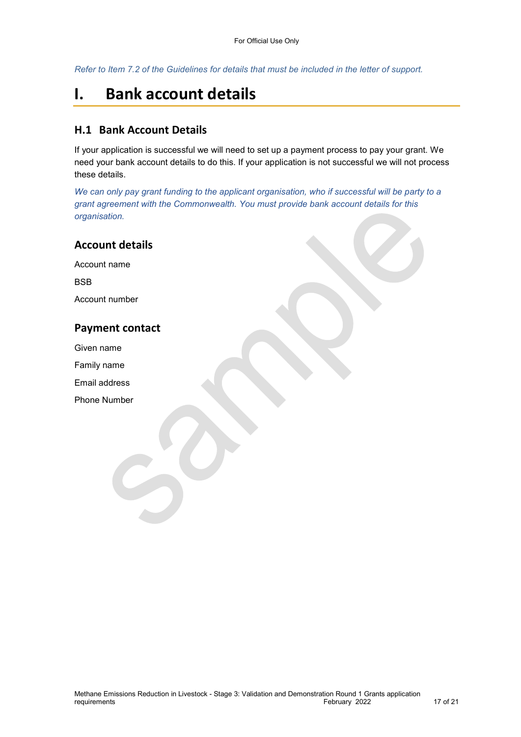Refer to Item 7.2 of the Guidelines for details that must be included in the letter of support.

# I. Bank account details

#### H.1 Bank Account Details

If your application is successful we will need to set up a payment process to pay your grant. We need your bank account details to do this. If your application is not successful we will not process these details.

We can only pay grant funding to the applicant organisation, who if successful will be party to a grant agreement with the Commonwealth. You must provide bank account details for this organisation.

| <b>Account details</b> |
|------------------------|
| Account name           |
| <b>BSB</b>             |
| Account number         |
| <b>Payment contact</b> |
| Given name             |
| Family name            |
| Email address          |
| <b>Phone Number</b>    |
|                        |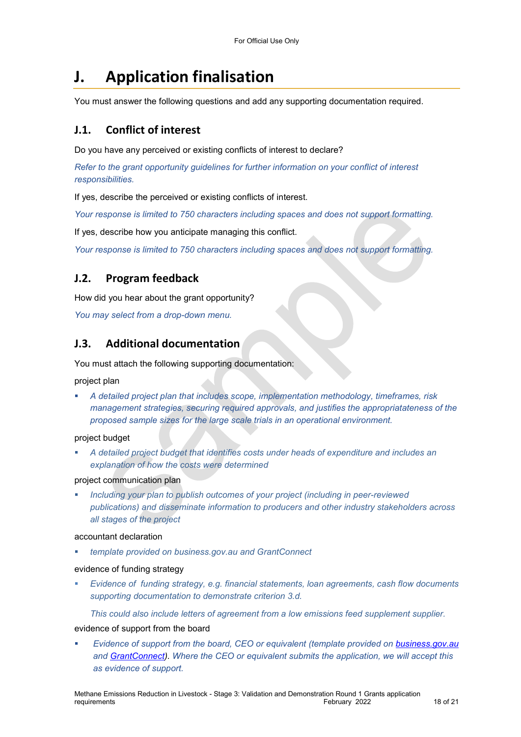# J. Application finalisation

You must answer the following questions and add any supporting documentation required.

#### J.1. Conflict of interest

Do you have any perceived or existing conflicts of interest to declare?

Refer to the grant opportunity guidelines for further information on your conflict of interest responsibilities.

If yes, describe the perceived or existing conflicts of interest.

Your response is limited to 750 characters including spaces and does not support formatting.

If yes, describe how you anticipate managing this conflict.

Your response is limited to 750 characters including spaces and does not support formatting.

#### J.2. Program feedback

How did you hear about the grant opportunity?

You may select from a drop-down menu.

#### J.3. Additional documentation

You must attach the following supporting documentation:

project plan

 A detailed project plan that includes scope, implementation methodology, timeframes, risk management strategies, securing required approvals, and justifies the appropriatateness of the proposed sample sizes for the large scale trials in an operational environment.

project budget

 A detailed project budget that identifies costs under heads of expenditure and includes an explanation of how the costs were determined

project communication plan

 Including your plan to publish outcomes of your project (including in peer-reviewed publications) and disseminate information to producers and other industry stakeholders across all stages of the project

#### accountant declaration

template provided on business.gov.au and GrantConnect

evidence of funding strategy

 Evidence of funding strategy, e.g. financial statements, loan agreements, cash flow documents supporting documentation to demonstrate criterion 3.d.

This could also include letters of agreement from a low emissions feed supplement supplier.

evidence of support from the board

 Evidence of support from the board, CEO or equivalent (template provided on business.gov.au and GrantConnect). Where the CEO or equivalent submits the application, we will accept this as evidence of support.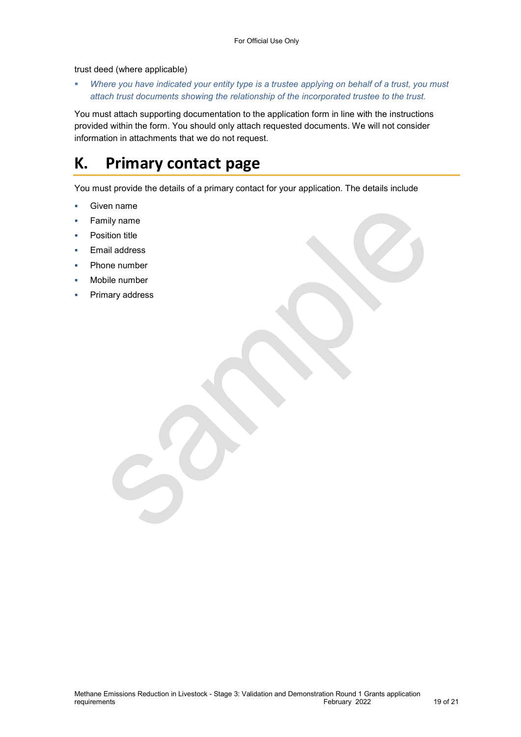#### trust deed (where applicable)

Where you have indicated your entity type is a trustee applying on behalf of a trust, you must attach trust documents showing the relationship of the incorporated trustee to the trust.

You must attach supporting documentation to the application form in line with the instructions provided within the form. You should only attach requested documents. We will not consider information in attachments that we do not request.

# K. Primary contact page

You must provide the details of a primary contact for your application. The details include

- **Given name**
- Family name
- Position title
- Email address
- Phone number
- Mobile number
- Primary address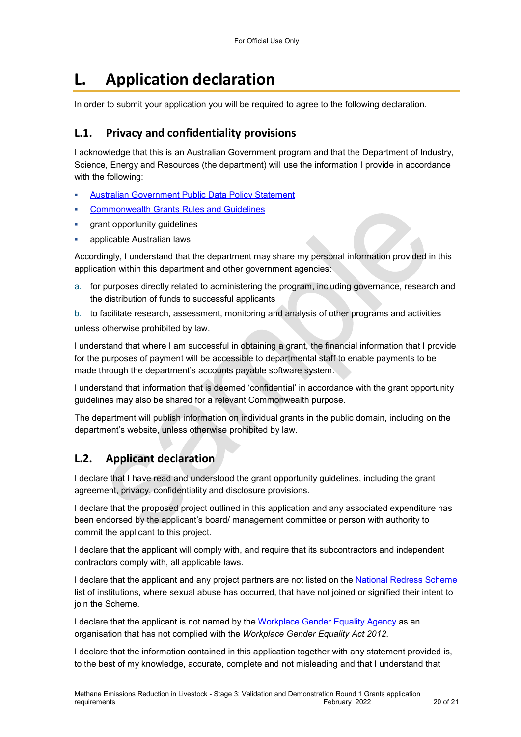# L. Application declaration

In order to submit your application you will be required to agree to the following declaration.

#### L.1. Privacy and confidentiality provisions

I acknowledge that this is an Australian Government program and that the Department of Industry, Science, Energy and Resources (the department) will use the information I provide in accordance with the following:

- Australian Government Public Data Policy Statement
- Commonwealth Grants Rules and Guidelines
- grant opportunity guidelines
- applicable Australian laws

Accordingly, I understand that the department may share my personal information provided in this application within this department and other government agencies:

a. for purposes directly related to administering the program, including governance, research and the distribution of funds to successful applicants

b. to facilitate research, assessment, monitoring and analysis of other programs and activities unless otherwise prohibited by law.

I understand that where I am successful in obtaining a grant, the financial information that I provide for the purposes of payment will be accessible to departmental staff to enable payments to be made through the department's accounts payable software system.

I understand that information that is deemed 'confidential' in accordance with the grant opportunity guidelines may also be shared for a relevant Commonwealth purpose.

The department will publish information on individual grants in the public domain, including on the department's website, unless otherwise prohibited by law.

### L.2. Applicant declaration

I declare that I have read and understood the grant opportunity guidelines, including the grant agreement, privacy, confidentiality and disclosure provisions.

I declare that the proposed project outlined in this application and any associated expenditure has been endorsed by the applicant's board/ management committee or person with authority to commit the applicant to this project.

I declare that the applicant will comply with, and require that its subcontractors and independent contractors comply with, all applicable laws.

I declare that the applicant and any project partners are not listed on the National Redress Scheme list of institutions, where sexual abuse has occurred, that have not joined or signified their intent to join the Scheme.

I declare that the applicant is not named by the Workplace Gender Equality Agency as an organisation that has not complied with the Workplace Gender Equality Act 2012.

I declare that the information contained in this application together with any statement provided is, to the best of my knowledge, accurate, complete and not misleading and that I understand that